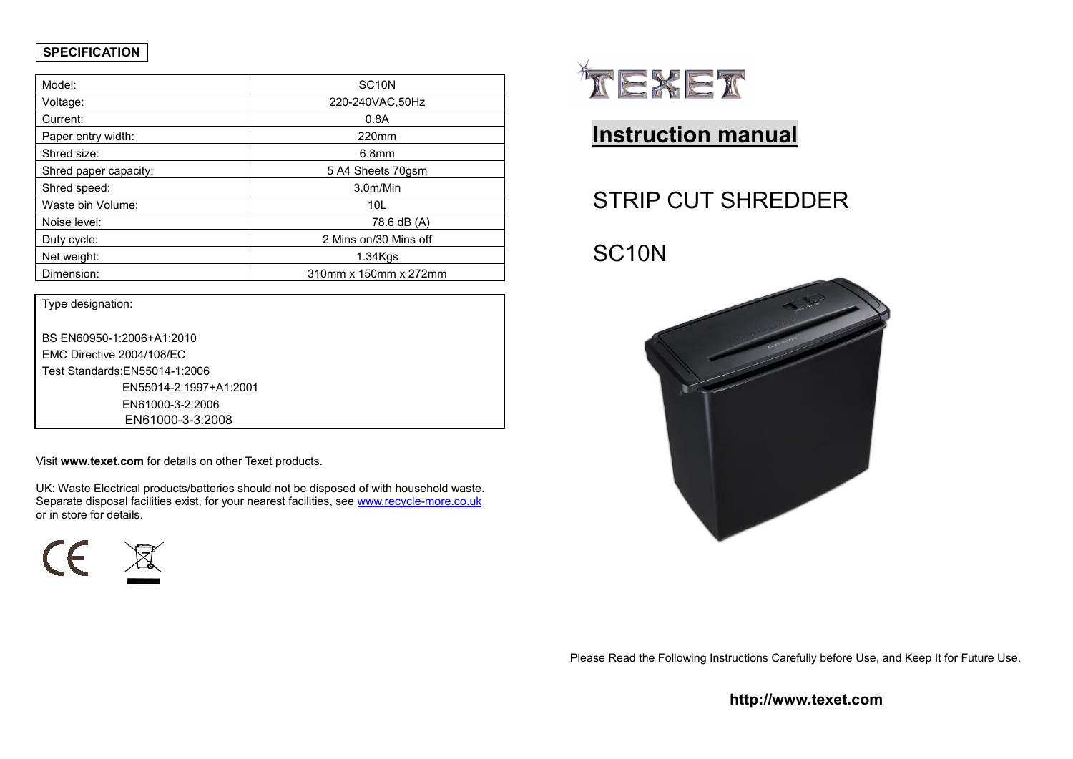## **SPECIFICATION**

| Model:                | SC <sub>10</sub> N    |  |
|-----------------------|-----------------------|--|
| Voltage:              | 220-240VAC,50Hz       |  |
| Current:              | 0.8A                  |  |
| Paper entry width:    | 220mm                 |  |
| Shred size:           | 6.8 <sub>mm</sub>     |  |
| Shred paper capacity: | 5 A4 Sheets 70gsm     |  |
| Shred speed:          | 3.0m/Min              |  |
| Waste bin Volume:     | 10L                   |  |
| Noise level:          | 78.6 dB (A)           |  |
| Duty cycle:           | 2 Mins on/30 Mins off |  |
| Net weight:           | $1.34K$ qs            |  |
| Dimension:            | 310mm x 150mm x 272mm |  |

| Type designation:              |  |  |
|--------------------------------|--|--|
|                                |  |  |
| BS EN60950-1:2006+A1:2010      |  |  |
| EMC Directive 2004/108/EC      |  |  |
| Test Standards: EN55014-1:2006 |  |  |
| EN55014-2:1997+A1:2001         |  |  |
| EN61000-3-2:2006               |  |  |
| EN61000-3-3:2008               |  |  |

Visit **www.texet.com** for details on other Texet products.

UK: Waste Electrical products/batteries should not be disposed of with household waste. Separate disposal facilities exist, for your nearest facilities, see www.recycle-more.co.uk or in store for details.





## **Instruction manual**

# STRIP CUT SHREDDER

## SC10N



Please Read the Following Instructions Carefully before Use, and Keep It for Future Use.

**http://www.texet.com**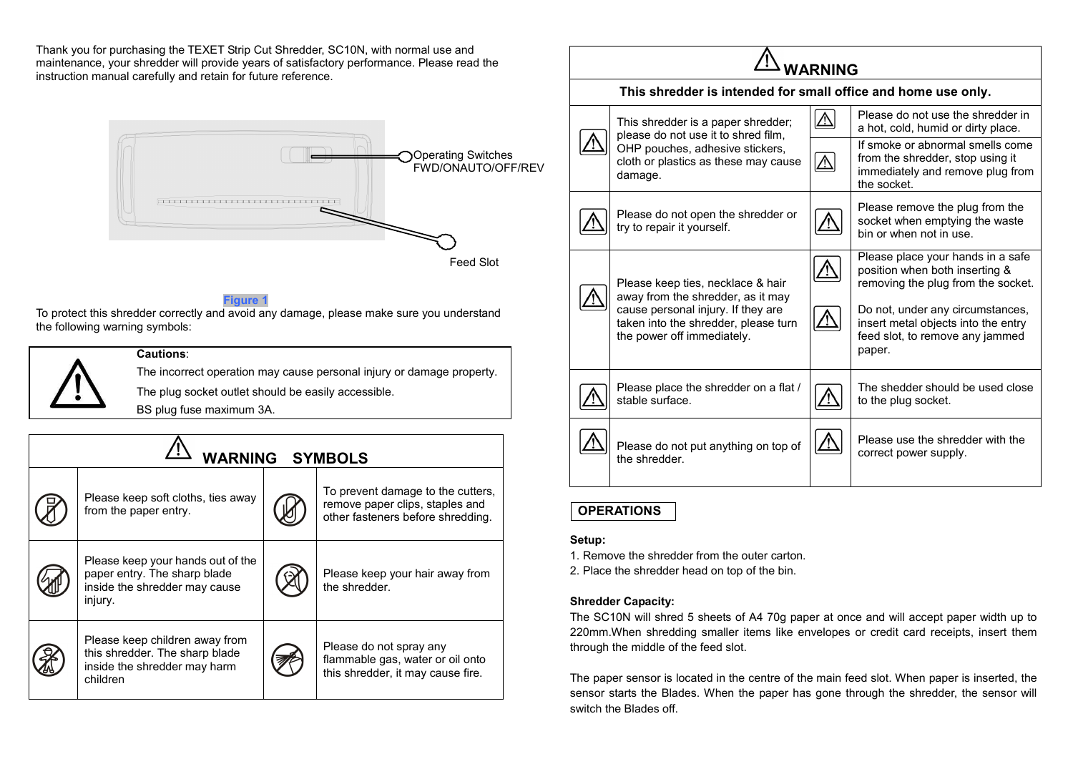Thank you for purchasing the TEXET Strip Cut Shredder, SC10N, with normal use and maintenance, your shredder will provide years of satisfactory performance. Please read the instruction manual carefully and retain for future reference.



Feed Slot

#### **Figure**

 To protect this shredder correctly and avoid any damage, please make sure you understand the following warning symbols:

#### **Cautions**:

The incorrect operation may cause personal injury or damage property.The plug socket outlet should be easily accessible.

BS plug fuse maximum 3A.

| <b>WARNING SYMBOLS</b> |                                                                                                               |  |                                                                                                           |  |  |
|------------------------|---------------------------------------------------------------------------------------------------------------|--|-----------------------------------------------------------------------------------------------------------|--|--|
|                        | Please keep soft cloths, ties away<br>from the paper entry.                                                   |  | To prevent damage to the cutters,<br>remove paper clips, staples and<br>other fasteners before shredding. |  |  |
|                        | Please keep your hands out of the<br>paper entry. The sharp blade<br>inside the shredder may cause<br>injury. |  | Please keep your hair away from<br>the shredder.                                                          |  |  |
|                        | Please keep children away from<br>this shredder. The sharp blade<br>inside the shredder may harm<br>children  |  | Please do not spray any<br>flammable gas, water or oil onto<br>this shredder, it may cause fire.          |  |  |



### **OPERATIONS**

#### **Setup:**

1. Remove the shredder from the outer carton.

2. Place the shredder head on top of the bin.

#### **Shredder Capacity:**

The SC10N will shred 5 sheets of A4 70g paper at once and will accept paper width up to 220mm.When shredding smaller items like envelopes or credit card receipts, insert them through the middle of the feed slot.

The paper sensor is located in the centre of the main feed slot. When paper is inserted, the sensor starts the Blades. When the paper has gone through the shredder, the sensor will switch the Blades off.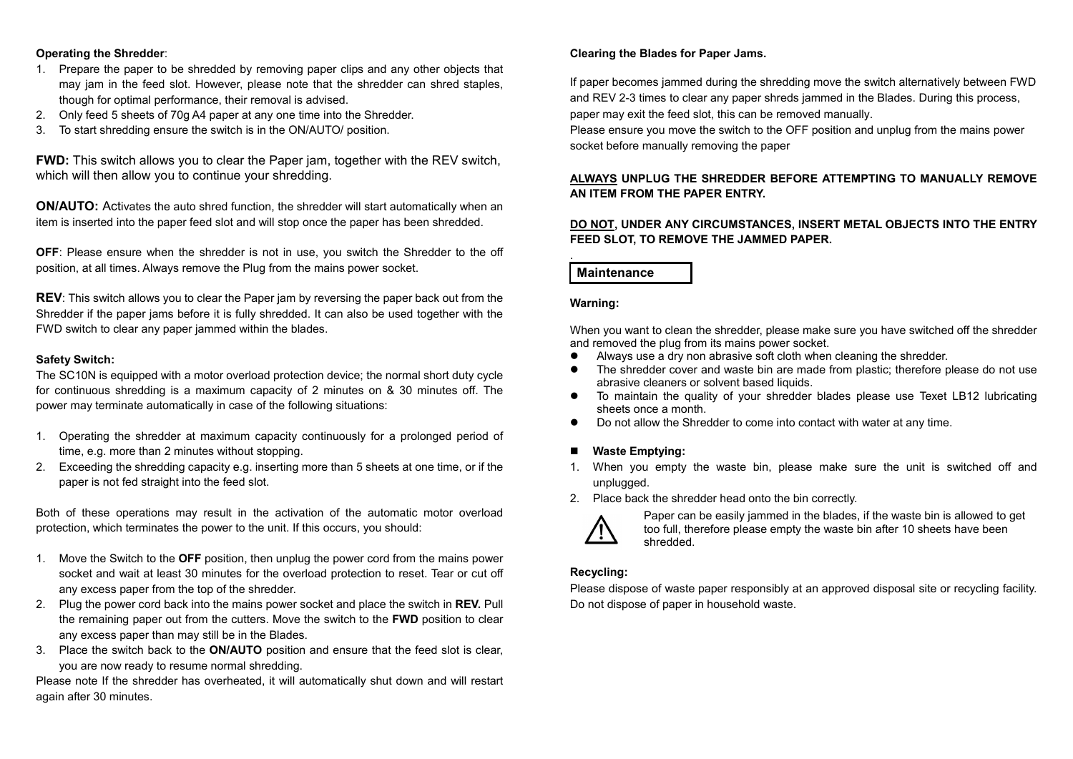#### **Operating the Shredder**:

- 1. Prepare the paper to be shredded by removing paper clips and any other objects that may jam in the feed slot. However, please note that the shredder can shred staples, though for optimal performance, their removal is advised.
- 2. Only feed 5 sheets of 70g A4 paper at any one time into the Shredder.
- 3. To start shredding ensure the switch is in the ON/AUTO/ position.

**FWD:** This switch allows you to clear the Paper jam, together with the REV switch, which will then allow you to continue your shredding.

**ON/AUTO:** Activates the auto shred function, the shredder will start automatically when an item is inserted into the paper feed slot and will stop once the paper has been shredded.

**OFF**: Please ensure when the shredder is not in use, you switch the Shredder to the off position, at all times. Always remove the Plug from the mains power socket.

**REV**: This switch allows you to clear the Paper jam by reversing the paper back out from the Shredder if the paper jams before it is fully shredded. It can also be used together with the FWD switch to clear any paper jammed within the blades.

#### **Safety Switch:**

The SC10N is equipped with a motor overload protection device; the normal short duty cycle for continuous shredding is a maximum capacity of 2 minutes on & 30 minutes off. The power may terminate automatically in case of the following situations:

- 1. Operating the shredder at maximum capacity continuously for a prolonged period of time, e.g. more than 2 minutes without stopping.
- 2. Exceeding the shredding capacity e.g. inserting more than 5 sheets at one time, or if the paper is not fed straight into the feed slot.

Both of these operations may result in the activation of the automatic motor overload protection, which terminates the power to the unit. If this occurs, you should:

- 1. Move the Switch to the **OFF** position, then unplug the power cord from the mains power socket and wait at least 30 minutes for the overload protection to reset. Tear or cut off any excess paper from the top of the shredder.
- 2. Plug the power cord back into the mains power socket and place the switch in **REV.** Pull the remaining paper out from the cutters. Move the switch to the **FWD** position to clear any excess paper than may still be in the Blades.
- 3. Place the switch back to the **ON/AUTO** position and ensure that the feed slot is clear, you are now ready to resume normal shredding.

Please note If the shredder has overheated, it will automatically shut down and will restart again after 30 minutes.

#### **Clearing the Blades for Paper Jams.**

If paper becomes jammed during the shredding move the switch alternatively between FWD and REV 2-3 times to clear any paper shreds jammed in the Blades. During this process, paper may exit the feed slot, this can be removed manually.

Please ensure you move the switch to the OFF position and unplug from the mains power socket before manually removing the paper

#### **ALWAYS UNPLUG THE SHREDDER BEFORE ATTEMPTING TO MANUALLY REMOVE AN ITEM FROM THE PAPER ENTRY.**

#### **DO NOT, UNDER ANY CIRCUMSTANCES, INSERT METAL OBJECTS INTO THE ENTRY FEED SLOT, TO REMOVE THE JAMMED PAPER.**

### **Maintenance**

#### **Warning:**

.

When you want to clean the shredder, please make sure you have switched off the shredder and removed the plug from its mains power socket.

- Always use a dry non abrasive soft cloth when cleaning the shredder.
- The shredder cover and waste bin are made from plastic; therefore please do not use abrasive cleaners or solvent based liquids.
- To maintain the quality of your shredder blades please use Texet LB12 lubricating sheets once a month.
- **•** Do not allow the Shredder to come into contact with water at any time.

## ■ Waste Emptying:

- 1. When you empty the waste bin, please make sure the unit is switched off and unplugged.
- 2. Place back the shredder head onto the bin correctly.



Paper can be easily jammed in the blades, if the waste bin is allowed to get too full, therefore please empty the waste bin after 10 sheets have been shredded.

#### **Recycling:**

Please dispose of waste paper responsibly at an approved disposal site or recycling facility. Do not dispose of paper in household waste.